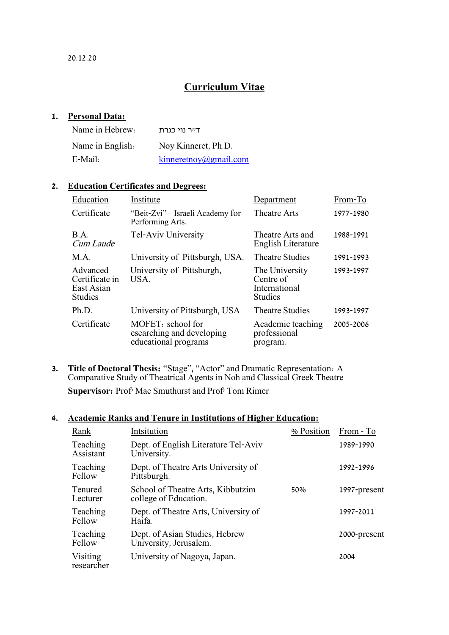# **Curriculum Vitae**

#### **1. Personal Data:**

| Name in Hebrew:  | דייר נוי כנרת         |
|------------------|-----------------------|
| Name in English. | Noy Kinneret, Ph.D.   |
| E-Mail:          | kinneretnov@gmail.com |

### **2. Education Certificates and Degrees:**

| Education                                                  | Institute                                                              | Department                                                     | From-To   |
|------------------------------------------------------------|------------------------------------------------------------------------|----------------------------------------------------------------|-----------|
| Certificate                                                | "Beit-Zvi" – Israeli Academy for<br>Performing Arts.                   | <b>Theatre Arts</b>                                            | 1977-1980 |
| B.A.<br>Cum Laude                                          | Tel-Aviv University                                                    | Theatre Arts and<br>English Literature                         | 1988-1991 |
| M.A.                                                       | University of Pittsburgh, USA.                                         | <b>Theatre Studies</b>                                         | 1991-1993 |
| Advanced<br>Certificate in<br>East Asian<br><b>Studies</b> | University of Pittsburgh,<br>USA.                                      | The University<br>Centre of<br>International<br><b>Studies</b> | 1993-1997 |
| Ph.D.                                                      | University of Pittsburgh, USA                                          | <b>Theatre Studies</b>                                         | 1993-1997 |
| Certificate                                                | MOFET: school for<br>esearching and developing<br>educational programs | Academic teaching<br>professional<br>program.                  | 2005-2006 |

**3. Title of Doctoral Thesis:** "Stage", "Actor" and Dramatic Representation: A Comparative Study of Theatrical Agents in Noh and Classical Greek Theatre **Supervisor:** Prof' Mae Smuthurst and Prof' Tom Rimer

## **4. Academic Ranks and Tenure in Institutions of Higher Education:**

| Rank                       | Intsitution                                                | % Position | From - To    |
|----------------------------|------------------------------------------------------------|------------|--------------|
| Teaching<br>Assistant      | Dept. of English Literature Tel-Aviv<br>University.        |            | 1989-1990    |
| Teaching<br>Fellow         | Dept. of Theatre Arts University of<br>Pittsburgh.         |            | 1992-1996    |
| <b>Tenured</b><br>Lecturer | School of Theatre Arts, Kibbutzim<br>college of Education. | 50%        | 1997-present |
| Teaching<br>Fellow         | Dept. of Theatre Arts, University of<br>Haifa.             |            | 1997-2011    |
| Teaching<br>Fellow         | Dept. of Asian Studies, Hebrew<br>University, Jerusalem.   |            | 2000-present |
| Visiting<br>researcher     | University of Nagoya, Japan.                               |            | 2004         |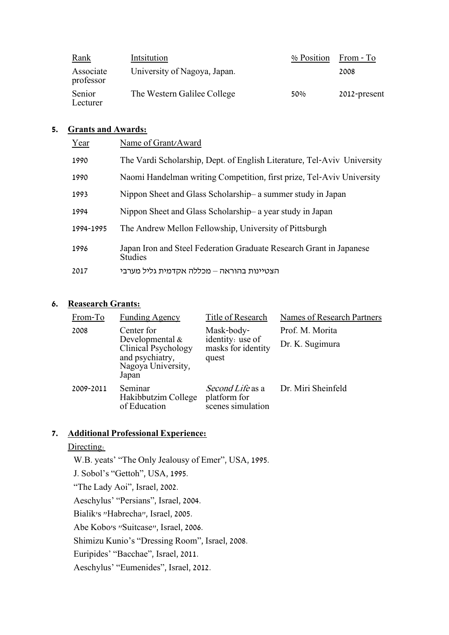| <u>Rank</u>            | Intsitution                  | % Position | From - To    |
|------------------------|------------------------------|------------|--------------|
| Associate<br>professor | University of Nagoya, Japan. |            | 2008         |
| Senior<br>Lecturer     | The Western Galilee College  | 50%        | 2012-present |

### **5. Grants and Awards:**

| Year      | Name of Grant/Award                                                                   |
|-----------|---------------------------------------------------------------------------------------|
| 1990      | The Vardi Scholarship, Dept. of English Literature, Tel-Aviv University               |
| 1990      | Naomi Handelman writing Competition, first prize, Tel-Aviv University                 |
| 1993      | Nippon Sheet and Glass Scholarship- a summer study in Japan                           |
| 1994      | Nippon Sheet and Glass Scholarship- a year study in Japan                             |
| 1994-1995 | The Andrew Mellon Fellowship, University of Pittsburgh                                |
| 1996      | Japan Iron and Steel Federation Graduate Research Grant in Japanese<br><b>Studies</b> |
| 2017      | הצטיינות בהוראה – מכללה אקדמית גליל מערבי                                             |
|           |                                                                                       |

# **6. Reasearch Grants:**

| From-To   | <b>Funding Agency</b>                                                                                            | Title of Research                                             | Names of Research Partners |
|-----------|------------------------------------------------------------------------------------------------------------------|---------------------------------------------------------------|----------------------------|
| 2008      | Center for<br>Developmental $\&$<br><b>Clinical Psychology</b><br>and psychiatry,<br>Nagoya University,<br>Japan | Mask-body-<br>identity: use of<br>masks for identity<br>quest | Prof. M. Morita            |
|           |                                                                                                                  |                                                               | Dr. K. Sugimura            |
| 2009-2011 | Seminar<br>Hakibbutzim College<br>of Education                                                                   | Second Life as a<br>platform for<br>scenes simulation         | Dr. Miri Sheinfeld         |

# **7. Additional Professional Experience:**

### Directing:

W.B. yeats' "The Only Jealousy of Emer", USA, 1995. J. Sobol's "Gettoh", USA, 1995. "The Lady Aoi", Israel, 2002. Aeschylus' "Persians", Israel, 2004. Bialik's "Habrecha", Israel, 2005. Abe Kobo's "Suitcase", Israel, 2006. Shimizu Kunio's "Dressing Room", Israel, 2008. Euripides' "Bacchae", Israel, 2011. Aeschylus' "Eumenides", Israel, 2012.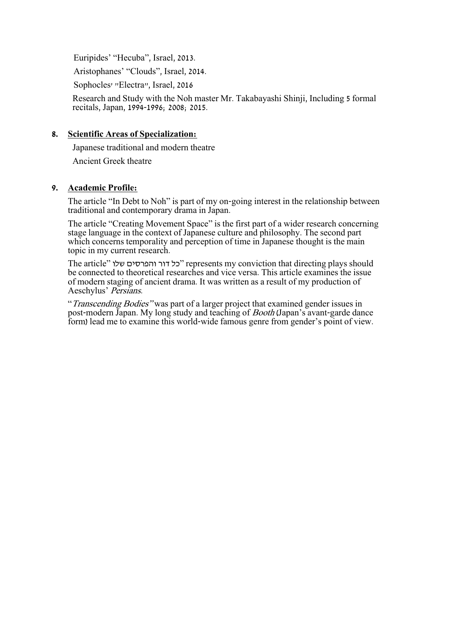Euripides' "Hecuba", Israel, 2013.

Aristophanes' "Clouds", Israel, 2014.

Sophocles' "Electra", Israel, 2016

Research and Study with the Noh master Mr. Takabayashi Shinji, Including 5 formal recitals, Japan, 1994-1996; 2008; 2015.

### **8. Scientific Areas of Specialization:**

Japanese traditional and modern theatre

Ancient Greek theatre

### **9. Academic Profile:**

The article "In Debt to Noh" is part of my on-going interest in the relationship between traditional and contemporary drama in Japan.

The article "Creating Movement Space" is the first part of a wider research concerning stage language in the context of Japanese culture and philosophy. The second part which concerns temporality and perception of time in Japanese thought is the main topic in my current research.

The article" שלו והפרסים דור כל "represents my conviction that directing plays should be connected to theoretical researches and vice versa. This article examines the issue of modern staging of ancient drama. It was written as a result of my production of Aeschylus' Persians.

"Transcending Bodies" was part of a larger project that examined gender issues in post-modern Japan. My long study and teaching of *Booth* (Japan's avant-garde dance form) lead me to examine this world-wide famous genre from gender's point of view.